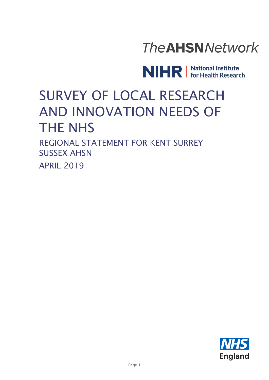# **The AHSN Network**

NIHR | National Institute

# SURVEY OF LOCAL RESEARCH AND INNOVATION NEEDS OF THE NHS

REGIONAL STATEMENT FOR KENT SURREY SUSSEX AHSN APRIL 2019

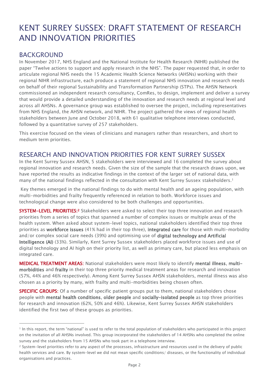## KENT SURREY SUSSEX: DRAFT STATEMENT OF RESEARCH AND INNOVATION PRIORITIES

#### BACKGROUND

 $\overline{a}$ 

In November 2017, NHS England and the National Institute for Health Research (NIHR) published the paper "Twelve actions to support and apply research in the NHS". The paper requested that, in order to articulate regional NHS needs the 15 Academic Health Science Networks (AHSNs) working with their regional NIHR infrastructure, each produce a statement of regional NHS innovation and research needs on behalf of their regional Sustainability and Transformation Partnership (STPs). The AHSN Network commissioned an independent research consultancy, ComRes, to design, implement and deliver a survey that would provide a detailed understanding of the innovation and research needs at regional level and across all AHSNs. A governance group was established to oversee the project, including representatives from NHS England, the AHSN network, and NIHR. The project gathered the views of regional health stakeholders between June and October 2018, with 61 qualitative telephone interviews conducted, followed by a quantitative survey of 257 stakeholders.

This exercise focused on the views of clinicians and managers rather than researchers, and short to medium term priorities.

### RESEARCH AND INNOVATION PRIORITIES FOR KENT SURREY SUSSEX

In the Kent Surrey Sussex AHSN, 5 stakeholders were interviewed and 16 completed the survey about regional innovation and research needs. Given the size of the sample that the research draws upon, we have reported the results as indicative findings in the context of the larger set of national data, with many of the national findings reflected in the consultation with Kent Surrey Sussex stakeholders.<sup>1</sup>

Key themes emerged in the national findings to do with mental health and an ageing population, with multi-morbidities and frailty frequently referenced in relation to both. Workforce issues and technological change were also considered to be both challenges and opportunities.

SYSTEM-LEVEL PRIORITIES:<sup>2</sup> Stakeholders were asked to select their top three innovation and research priorities from a series of topics that spanned a number of complex issues or multiple areas of the health system. When asked about system-level topics, national stakeholders identified their top three priorities as workforce issues (41% had in their top three), integrated care for those with multi-morbidity and/or complex social care needs (39%) and optimising use of digital technology and Artificial Intelligence (AI) (33%). Similarly, Kent Surrey Sussex stakeholders placed workforce issues and use of digital technology and AI high on their priority list, as well as primary care, but placed less emphasis on integrated care.

MEDICAL TREATMENT AREAS: National stakeholders were most likely to identify mental illness, multimorbidities and frailty in their top three priority medical treatment areas for research and innovation (57%, 44% and 46% respectively). Among Kent Surrey Sussex AHSN stakeholders, mental illness was also chosen as a priority by many, with frailty and multi-morbidities being chosen often.

**SPECIFIC GROUPS:** Of a number of specific patient groups put to them, national stakeholders chose people with mental health conditions, older people and socially-isolated people as top three priorities for research and innovation (62%, 50% and 46%). Likewise, Kent Surrey Sussex AHSN stakeholders identified the first two of these groups as priorities.

<sup>1</sup> In this report, the term "national" is used to refer to the total population of stakeholders who participated in this project on the invitation of all AHSNs involved. This group incorporated the stakeholders of 14 AHSNs who completed the online survey and the stakeholders from 15 AHSNs who took part in a telephone interview.

<sup>2</sup> System-level priorities refer to any aspect of the processes, infrastructure and resources used in the delivery of public health services and care. By system-level we did not mean specific conditions/ diseases, or the functionality of individual organisations and practices.